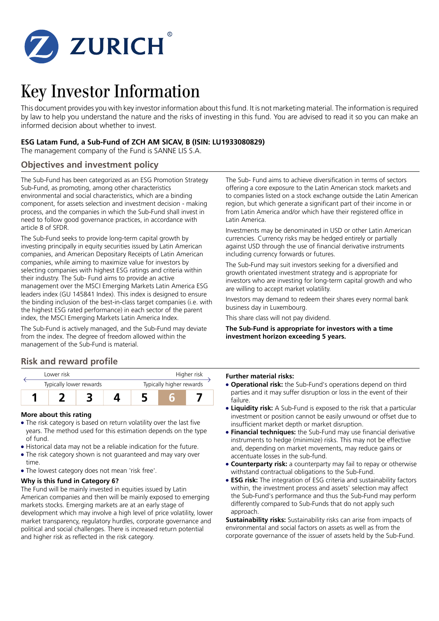

# Key Investor Information

This document provides you with key investor information about this fund. It is not marketing material. The information is required by law to help you understand the nature and the risks of investing in this fund. You are advised to read it so you can make an informed decision about whether to invest.

## **ESG Latam Fund, a Sub-Fund of ZCH AM SICAV, B (ISIN: LU1933080829)**

The management company of the Fund is SANNE LIS S.A.

## **Objectives and investment policy**

The Sub-Fund has been categorized as an ESG Promotion Strategy Sub-Fund, as promoting, among other characteristics environmental and social characteristics, which are a binding component, for assets selection and investment decision - making process, and the companies in which the Sub-Fund shall invest in need to follow good governance practices, in accordance with article 8 of SFDR.

The Sub-Fund seeks to provide long-term capital growth by investing principally in equity securities issued by Latin American companies, and American Depositary Receipts of Latin American companies, while aiming to maximize value for investors by selecting companies with highest ESG ratings and criteria within their industry. The Sub- Fund aims to provide an active management over the MSCI Emerging Markets Latin America ESG leaders index (GU 145841 Index). This index is designed to ensure the binding inclusion of the best-in-class target companies (i.e. with the highest ESG rated performance) in each sector of the parent index, the MSCI Emerging Markets Latin America Index.

The Sub-Fund is actively managed, and the Sub-Fund may deviate from the index. The degree of freedom allowed within the management of the Sub-Fund is material.

## **Risk and reward profile**



#### **More about this rating**

- The risk category is based on return volatility over the last five years. The method used for this estimation depends on the type of fund.
- 5 Historical data may not be a reliable indication for the future.
- The risk category shown is not guaranteed and may vary over time.
- The lowest category does not mean 'risk free'.

## **Why is this fund in Category 6?**

The Fund will be mainly invested in equities issued by Latin American companies and then will be mainly exposed to emerging markets stocks. Emerging markets are at an early stage of development which may involve a high level of price volatility, lower market transparency, regulatory hurdles, corporate governance and political and social challenges. There is increased return potential and higher risk as reflected in the risk category.

The Sub- Fund aims to achieve diversification in terms of sectors offering a core exposure to the Latin American stock markets and to companies listed on a stock exchange outside the Latin American region, but which generate a significant part of their income in or from Latin America and/or which have their registered office in Latin America.

Investments may be denominated in USD or other Latin American currencies. Currency risks may be hedged entirely or partially against USD through the use of financial derivative instruments including currency forwards or futures.

The Sub-Fund may suit investors seeking for a diversified and growth orientated investment strategy and is appropriate for investors who are investing for long-term capital growth and who are willing to accept market volatility.

Investors may demand to redeem their shares every normal bank business day in Luxembourg.

This share class will not pay dividend.

**The Sub-Fund is appropriate for investors with a time investment horizon exceeding 5 years.**

#### **Further material risks:**

- **Operational risk:** the Sub-Fund's operations depend on third parties and it may suffer disruption or loss in the event of their failure.
- **Liquidity risk:** A Sub-Fund is exposed to the risk that a particular investment or position cannot be easily unwound or offset due to insufficient market depth or market disruption.
- **Financial techniques:** the Sub-Fund may use financial derivative instruments to hedge (minimize) risks. This may not be effective and, depending on market movements, may reduce gains or accentuate losses in the sub-fund.
- **Counterparty risk:** a counterparty may fail to repay or otherwise withstand contractual obligations to the Sub-Fund.
- **ESG risk:** The integration of ESG criteria and sustainability factors within, the investment process and assets' selection may affect the Sub-Fund's performance and thus the Sub-Fund may perform differently compared to Sub-Funds that do not apply such approach.

**Sustainability risks:** Sustainability risks can arise from impacts of environmental and social factors on assets as well as from the corporate governance of the issuer of assets held by the Sub-Fund.